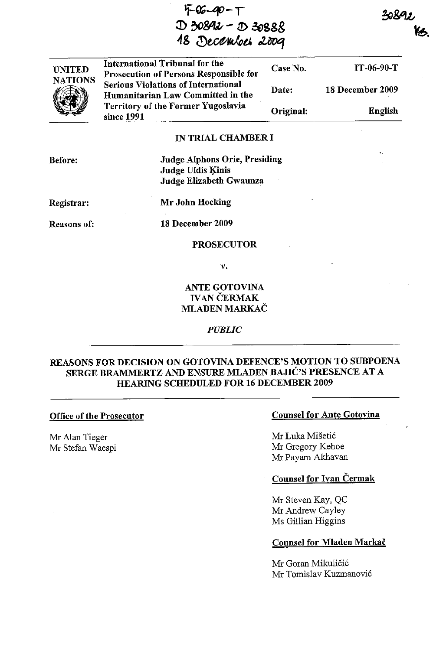5-06-90-T l) ~&U- - *t!>* **.3E>SS&**  18 December 2009

UNITED NATIONS  $\frac{1}{2}$ International Tribunal for the Prosecution of Persons Responsible for Serious Violations of International Humanitarian Law Committed in the Territory of the Former Yugoslavia since 1991 Case No. Date: Original: IT-06-90-T 18 December 2009 English

# IN TRIAL CHAMBER I

Before:

Judge Alphons Orie, Presiding Judge Uldis Kinis Judge Elizabeth Gwaunza

Registrar:

Mr John Hocking

Reasons of:

18 December 2009

# PROSECUTOR

v.

# ANTE GOTOVINA **IVAN ČERMAK** MLADEN MARKAC

#### *PUBLIC*

# REASONS FOR DECISION ON GOTOVINA DEFENCE'S MOTION TO SUBPOENA SERGE BRAMMERTZ AND ENSURE MLADEN BAJIC'S PRESENCE AT A HEARING SCHEDULED FOR 16 DECEMBER 2009

#### Office of the Prosecutor

Mr Alan Tieger Mr Stefan Waespi

### Counsel for Ante Gotovina

Mr Luka Mišetić Mr Gregory Kehoe Mr Payam Akhavan

# Counsel for Ivan Cermak

Mr Steven Kay, QC Mr Andrew Cayley Ms Gillian Higgins

#### Counsel for Mladen Markač

Mr Goran Mikuličić Mr Tomislav Kuzmanovi6 30892 ka,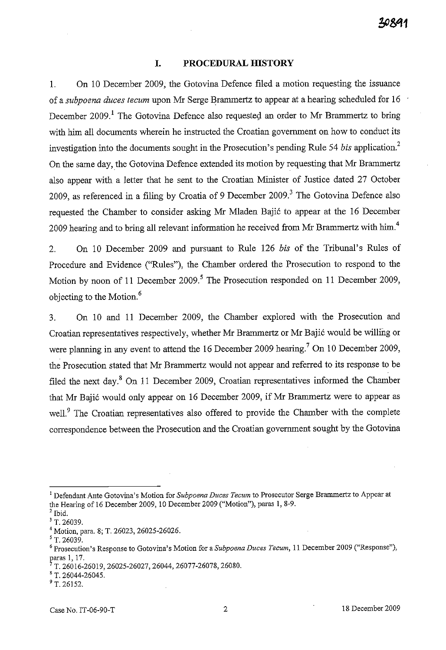### **I. PROCEDURAL HISTORY**

1. On 10 December 2009, the Gotovina Defence filed a motion requesting the issuance of a *subpoena duces tecum* upon Mr Serge Brammertz to appear at a hearing scheduled for 16 December 2009.<sup>1</sup> The Gotovina Defence also requested an order to Mr Brammertz to bring with him all documents wherein he instructed the Croatian govermnent on how to conduct its investigation into the documents sought in the Prosecution's pending Rule 54 *bis* application? On the same day, the Gotovina Defence extended its motion by requesting that Mr Brammertz also appear with a letter that he sent to the Croatian Minister of Justice dated 27 October 2009, as referenced in a filing by Croatia of 9 December 2009.<sup>3</sup> The Gotovina Defence also requested the Chamber to consider asking Mr Mladen Bajić to appear at the 16 December 2009 hearing and to bring all relevant information he received from Mr Brammertz with him.<sup>4</sup>

2. On 10 December 2009 and pursuant to Rule 126 *bis* of the Tribunal's Rules of Procedure and Evidence ("Rules"), the Chamber ordered the Prosecution to respond to the Motion by noon of 11 December 2009.<sup>5</sup> The Prosecution responded on 11 December 2009, objecting to the Motion. <sup>6</sup>

3. On 10 and 11 December 2009, the Chamber explored with the Prosecution and Croatian representatives respectively, whether Mr Brammertz or Mr Bajic would be willing or were planning in any event to attend the 16 December 2009 hearing.<sup>7</sup> On 10 December 2009, the Prosecution stated that Mr Brammertz would not appear and referred to its response to be filed the next day. $8$  On 11 December 2009, Croatian representatives informed the Chamber that Mr Bajic would only appear on 16 December 2009, if Mr Brammertz were to appear as well.<sup>9</sup> The Croatian representatives also offered to provide the Chamber with the complete correspondence between the Prosecution and the Croatian govermnent sought by the Gotovina

<sup>&</sup>lt;sup>1</sup> Defendant Ante Gotovina's Motion for Subpoena Duces Tecum to Prosecutor Serge Brammertz to Appear at the Hearing of 16 December 2009, 10 December 2009 ("Motion"), paras 1, 8-9.

<sup>&#</sup>x27;Ibid.

*<sup>&#</sup>x27;T.26039.* 

<sup>4</sup> Motion, para. 8; T. 26023, 26025-26026.

<sup>5</sup> T. 26039.

<sup>6</sup>**Prosecution's Response to Gotovina's Motion for** a *Subpoena Duces Tecum,* **11 December 2009 ("Response"),**  paras 1, 17.

<sup>7</sup> T. 26016-26019, 26025-26027, 26044, 26077-26078, 26080.

 $^8$  T. 26044-26045.

 $9$  T. 26152.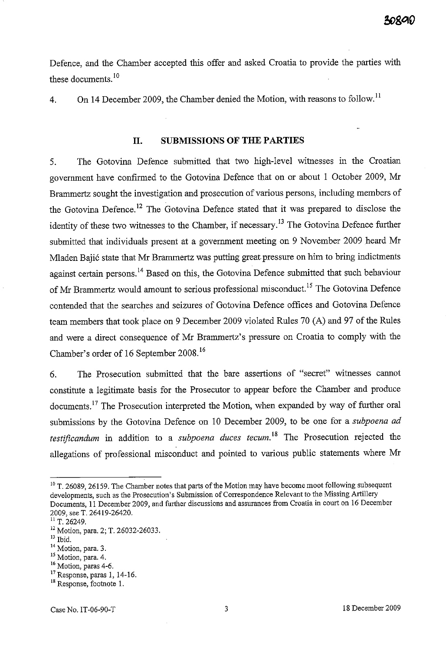Defence, and the Chamber accepted this offer and asked Croatia to provide the parties with these documents. 10

4. On **14** December 2009, the Chamber denied the Motion, with reasons to follow. ll

# **11. SUBMISSIONS OF THE PARTIES**

5. The Gotovina Defence submitted that two high-level witnesses in the Croatian government have confirmed to the Gotovina Defence that on or about 1 October 2009, Mr Brammertz sought the investigation and prosecution of various persons, including members of the Gotovina Defence. 12 The Gotovina Defence stated that it was prepared to disclose the identity of these two witnesses to the Chamber, if necessary.<sup>13</sup> The Gotovina Defence further submitted that individuals present at a government meeting on 9 November 2009 heard Mr Mladen Bajić state that Mr Brammertz was putting great pressure on him to bring indictments against certain persons.<sup>14</sup> Based on this, the Gotovina Defence submitted that such behaviour of Mr Brammertz would amount to serious professional misconduct.<sup>15</sup> The Gotovina Defence contended that the searches and seizures of Gotovina Defence offices and Gotovina Defence team members that took place on 9 December 2009 violated Rules 70 (A) and 97 of the Rules and were a direct consequence of Mr Branunertz's pressure on Croatia to comply with the Chamber's order of 16 September 2008. <sup>16</sup>

6. The Prosecution submitted that the bare assertions of "secret" witnesses cannot constitute a legitimate basis for the Prosecutor to appear before the Chamber and produce documents.17 The Prosecution interpreted the Motion, when expanded by way of further oral submissions by the Gotovina Defence on 10 December 2009, to be one for a *subpoena ad testificandum* in addition to a *subpoena duces tecum*.<sup>18</sup> The Prosecution rejected the allegations of professional misconduct and pointed to various public statements where Mr

<sup>&</sup>lt;sup>10</sup> T. 26089, 26159. The Chamber notes that parts of the Motion may have become moot following subsequent developments, such as the Prosecution's Submission of Correspondence Relevant to the Missing Artillery Documents, 11 December 2009, and further discussions and assurances from Craatia in court on 16 December 2009, see T. 26419-26420.

<sup>&</sup>lt;sup>11</sup> T. 26249.

<sup>12</sup> Motion, para. 2; T. 26032-26033.

<sup>13</sup> Ibid.

<sup>&</sup>lt;sup>14</sup> Motion, para. 3.

<sup>&</sup>lt;sup>15</sup> Motion, para. 4.

**<sup>16</sup> Motion, paras 4-6.** 

<sup>17</sup> Response, paras 1, 14-16.

<sup>&</sup>lt;sup>18</sup> Response, footnote 1.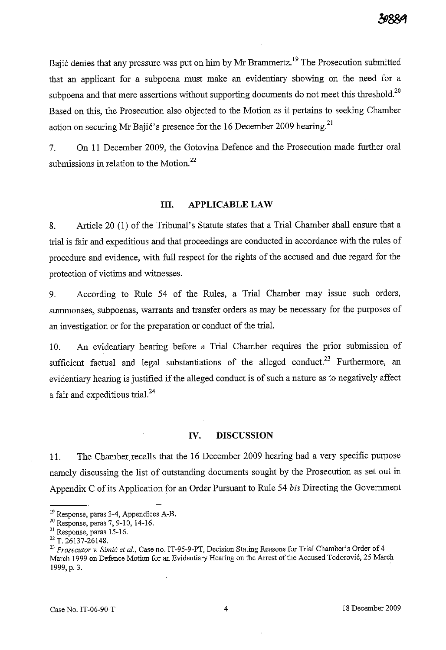Bajić denies that any pressure was put on him by Mr Brammertz.<sup>19</sup> The Prosecution submitted that an applicant for a subpoena must make an evidentiary showing on the need for a subpoena and that mere assertions without supporting documents do not meet this threshold.<sup>20</sup> Based on this, the Prosecution also objected to the Motion as it pertains to seeking Chamber action on securing Mr Bajić's presence for the 16 December 2009 hearing.<sup>21</sup>

7. On 11 December 2009, the Gotovina Defence and the Prosecution made further oral submissions in relation to the Motion.<sup>22</sup>

### **III.** APPLICABLE LAW

8. Article 20 (1) of the Tribunal's Statute states that a Trial Chamber shall ensure that a trial is fair and expeditious and that proceedings are conducted in accordance with the rules of procedure and evidence, with full respect for the rights of the accused and due regard for the protection of victims and witnesses.

9. According to Rule 54 of the Rules, a Trial Chamber may issue such orders, summonses, subpoenas, warrants and transfer orders as may be necessary for the purposes of an investigation or for the preparation or conduct of the trial.

10. An evidentiary hearing before a Trial Chamber requires the prior submission of sufficient factual and legal substantiations of the alleged conduct.<sup>23</sup> Furthermore, an evidentiary hearing is justified if the alleged conduct is of such a nature as to negatively affect a fair and expeditious trial.<sup>24</sup>

#### **IV. DISCUSSION**

11. The Chamber recalls that the 16 December 2009 hearing had a very specific purpose namely discussing the list of outstanding documents sought by the Prosecution as set out in Appendix C of its Application for an Order Pursuant to Rule 54 *his* Directing the Government

<sup>&</sup>lt;sup>19</sup> Response, paras 3-4, Appendices A-B.

<sup>&</sup>lt;sup>20</sup> Response, paras 7, 9-10, 14-16.

<sup>21</sup> Response, paras 15-16.

 $22$  T. 26137-26148.

*<sup>23</sup> Prosecutor* v. *Simic et al.,* Case no. IT-95-9-PT, Decision Stating Reasons for Trial Chamber's Order of 4 March 1999 on Defence Motion for an Evidentiary Hearing on the Arrest of the Accused Todorović, 25 March 1999, p. 3.